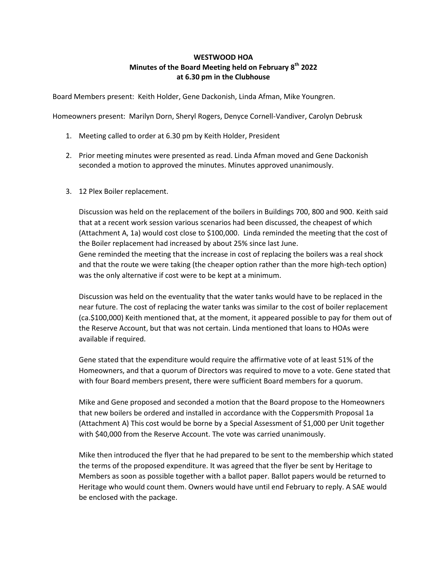# **WESTWOOD HOA Minutes of the Board Meeting held on February 8th 2022 at 6.30 pm in the Clubhouse**

Board Members present: Keith Holder, Gene Dackonish, Linda Afman, Mike Youngren.

Homeowners present: Marilyn Dorn, Sheryl Rogers, Denyce Cornell-Vandiver, Carolyn Debrusk

- 1. Meeting called to order at 6.30 pm by Keith Holder, President
- 2. Prior meeting minutes were presented as read. Linda Afman moved and Gene Dackonish seconded a motion to approved the minutes. Minutes approved unanimously.
- 3. 12 Plex Boiler replacement.

Discussion was held on the replacement of the boilers in Buildings 700, 800 and 900. Keith said that at a recent work session various scenarios had been discussed, the cheapest of which (Attachment A, 1a) would cost close to \$100,000. Linda reminded the meeting that the cost of the Boiler replacement had increased by about 25% since last June. Gene reminded the meeting that the increase in cost of replacing the boilers was a real shock and that the route we were taking (the cheaper option rather than the more high-tech option) was the only alternative if cost were to be kept at a minimum.

Discussion was held on the eventuality that the water tanks would have to be replaced in the near future. The cost of replacing the water tanks was similar to the cost of boiler replacement (ca.\$100,000) Keith mentioned that, at the moment, it appeared possible to pay for them out of the Reserve Account, but that was not certain. Linda mentioned that loans to HOAs were available if required.

Gene stated that the expenditure would require the affirmative vote of at least 51% of the Homeowners, and that a quorum of Directors was required to move to a vote. Gene stated that with four Board members present, there were sufficient Board members for a quorum.

Mike and Gene proposed and seconded a motion that the Board propose to the Homeowners that new boilers be ordered and installed in accordance with the Coppersmith Proposal 1a (Attachment A) This cost would be borne by a Special Assessment of \$1,000 per Unit together with \$40,000 from the Reserve Account. The vote was carried unanimously.

Mike then introduced the flyer that he had prepared to be sent to the membership which stated the terms of the proposed expenditure. It was agreed that the flyer be sent by Heritage to Members as soon as possible together with a ballot paper. Ballot papers would be returned to Heritage who would count them. Owners would have until end February to reply. A SAE would be enclosed with the package.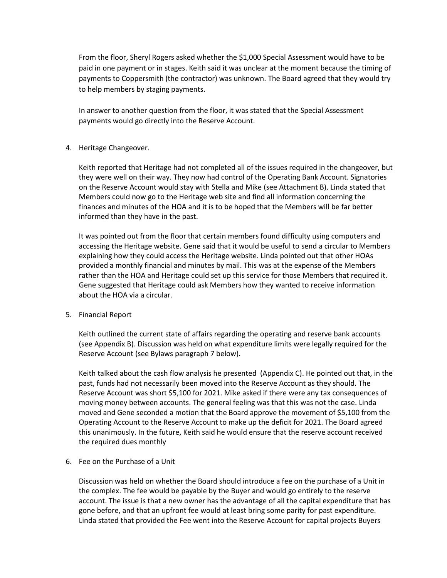From the floor, Sheryl Rogers asked whether the \$1,000 Special Assessment would have to be paid in one payment or in stages. Keith said it was unclear at the moment because the timing of payments to Coppersmith (the contractor) was unknown. The Board agreed that they would try to help members by staging payments.

In answer to another question from the floor, it was stated that the Special Assessment payments would go directly into the Reserve Account.

### 4. Heritage Changeover.

Keith reported that Heritage had not completed all of the issues required in the changeover, but they were well on their way. They now had control of the Operating Bank Account. Signatories on the Reserve Account would stay with Stella and Mike (see Attachment B). Linda stated that Members could now go to the Heritage web site and find all information concerning the finances and minutes of the HOA and it is to be hoped that the Members will be far better informed than they have in the past.

It was pointed out from the floor that certain members found difficulty using computers and accessing the Heritage website. Gene said that it would be useful to send a circular to Members explaining how they could access the Heritage website. Linda pointed out that other HOAs provided a monthly financial and minutes by mail. This was at the expense of the Members rather than the HOA and Heritage could set up this service for those Members that required it. Gene suggested that Heritage could ask Members how they wanted to receive information about the HOA via a circular.

#### 5. Financial Report

Keith outlined the current state of affairs regarding the operating and reserve bank accounts (see Appendix B). Discussion was held on what expenditure limits were legally required for the Reserve Account (see Bylaws paragraph 7 below).

Keith talked about the cash flow analysis he presented (Appendix C). He pointed out that, in the past, funds had not necessarily been moved into the Reserve Account as they should. The Reserve Account was short \$5,100 for 2021. Mike asked if there were any tax consequences of moving money between accounts. The general feeling was that this was not the case. Linda moved and Gene seconded a motion that the Board approve the movement of \$5,100 from the Operating Account to the Reserve Account to make up the deficit for 2021. The Board agreed this unanimously. In the future, Keith said he would ensure that the reserve account received the required dues monthly

### 6. Fee on the Purchase of a Unit

Discussion was held on whether the Board should introduce a fee on the purchase of a Unit in the complex. The fee would be payable by the Buyer and would go entirely to the reserve account. The issue is that a new owner has the advantage of all the capital expenditure that has gone before, and that an upfront fee would at least bring some parity for past expenditure. Linda stated that provided the Fee went into the Reserve Account for capital projects Buyers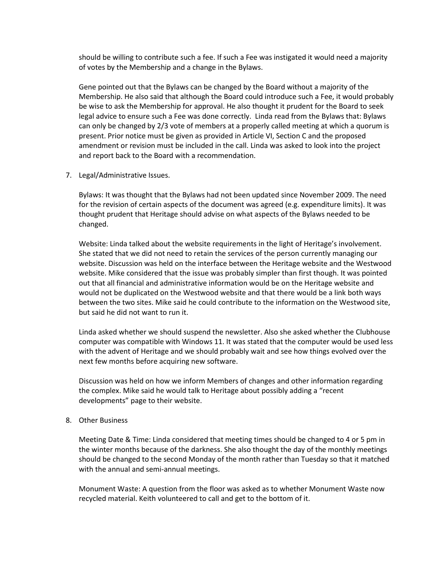should be willing to contribute such a fee. If such a Fee was instigated it would need a majority of votes by the Membership and a change in the Bylaws.

Gene pointed out that the Bylaws can be changed by the Board without a majority of the Membership. He also said that although the Board could introduce such a Fee, it would probably be wise to ask the Membership for approval. He also thought it prudent for the Board to seek legal advice to ensure such a Fee was done correctly. Linda read from the Bylaws that: Bylaws can only be changed by 2/3 vote of members at a properly called meeting at which a quorum is present. Prior notice must be given as provided in Article VI, Section C and the proposed amendment or revision must be included in the call. Linda was asked to look into the project and report back to the Board with a recommendation.

7. Legal/Administrative Issues.

Bylaws: It was thought that the Bylaws had not been updated since November 2009. The need for the revision of certain aspects of the document was agreed (e.g. expenditure limits). It was thought prudent that Heritage should advise on what aspects of the Bylaws needed to be changed.

Website: Linda talked about the website requirements in the light of Heritage's involvement. She stated that we did not need to retain the services of the person currently managing our website. Discussion was held on the interface between the Heritage website and the Westwood website. Mike considered that the issue was probably simpler than first though. It was pointed out that all financial and administrative information would be on the Heritage website and would not be duplicated on the Westwood website and that there would be a link both ways between the two sites. Mike said he could contribute to the information on the Westwood site, but said he did not want to run it.

Linda asked whether we should suspend the newsletter. Also she asked whether the Clubhouse computer was compatible with Windows 11. It was stated that the computer would be used less with the advent of Heritage and we should probably wait and see how things evolved over the next few months before acquiring new software.

Discussion was held on how we inform Members of changes and other information regarding the complex. Mike said he would talk to Heritage about possibly adding a "recent developments" page to their website.

## 8. Other Business

Meeting Date & Time: Linda considered that meeting times should be changed to 4 or 5 pm in the winter months because of the darkness. She also thought the day of the monthly meetings should be changed to the second Monday of the month rather than Tuesday so that it matched with the annual and semi-annual meetings.

Monument Waste: A question from the floor was asked as to whether Monument Waste now recycled material. Keith volunteered to call and get to the bottom of it.